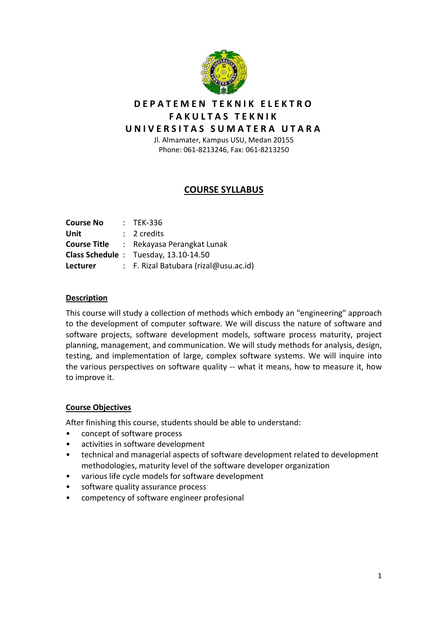

# **DEPATEMEN TEKNIK ELEKTRO FAKULTAS TEKNIK**

# **UNIVERSITAS SUMATERA UTARA**

Jl. Almamater, Kampus USU, Medan 20155 Phone: 061‐8213246, Fax: 061‐8213250

## **COURSE SYLLABUS**

| <b>Course No</b> | $:$ TEK-336                                      |
|------------------|--------------------------------------------------|
| Unit             | $: 2$ credits                                    |
|                  | <b>Course Title : Rekayasa Perangkat Lunak</b>   |
|                  | Class Schedule: Tuesday, 13.10-14.50             |
| <b>Lecturer</b>  | $\therefore$ F. Rizal Batubara (rizal@usu.ac.id) |

#### **Description**

This course will study a collection of methods which embody an "engineering" approach to the development of computer software. We will discuss the nature of software and software projects, software development models, software process maturity, project planning, management, and communication. We will study methods for analysis, design, testing, and implementation of large, complex software systems. We will inquire into the various perspectives on software quality ‐‐ what it means, how to measure it, how to improve it.

### **Course Objectives**

After finishing this course, students should be able to understand:

- concept of software process
- activities in software development
- technical and managerial aspects of software development related to development methodologies, maturity level of the software developer organization
- various life cycle models for software development
- software quality assurance process
- competency of software engineer profesional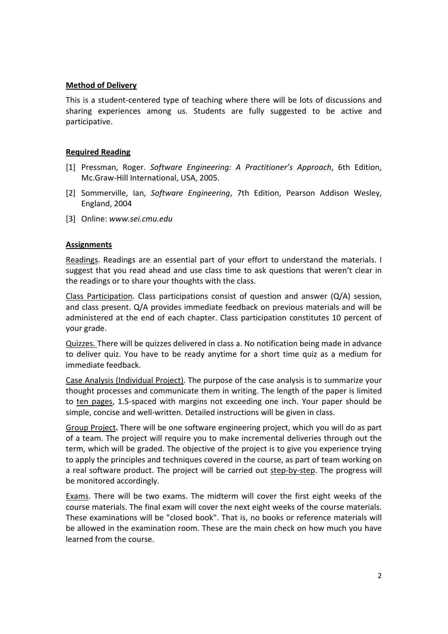#### **Method of Delivery**

This is a student‐centered type of teaching where there will be lots of discussions and sharing experiences among us. Students are fully suggested to be active and participative.

#### **Required Reading**

- [1] Pressman, Roger. *Software Engineering: A Practitioner's Approach*, 6th Edition, Mc.Graw‐Hill International, USA, 2005.
- [2] Sommerville, Ian, *Software Engineering*, 7th Edition, Pearson Addison Wesley, England, 2004
- [3] Online: *www.sei.cmu.edu*

#### **Assignments**

Readings. Readings are an essential part of your effort to understand the materials. I suggest that you read ahead and use class time to ask questions that weren't clear in the readings or to share your thoughts with the class.

Class Participation. Class participations consist of question and answer  $(Q/A)$  session, and class present. Q/A provides immediate feedback on previous materials and will be administered at the end of each chapter. Class participation constitutes 10 percent of your grade.

Quizzes. There will be quizzes delivered in class a. No notification being made in advance to deliver quiz. You have to be ready anytime for a short time quiz as a medium for immediate feedback.

Case Analysis (Individual Project). The purpose of the case analysis is to summarize your thought processes and communicate them in writing. The length of the paper is limited to ten pages, 1.5‐spaced with margins not exceeding one inch. Your paper should be simple, concise and well-written. Detailed instructions will be given in class.

Group Project**.** There will be one software engineering project, which you will do as part of a team. The project will require you to make incremental deliveries through out the term, which will be graded. The objective of the project is to give you experience trying to apply the principles and techniques covered in the course, as part of team working on a real software product. The project will be carried out step‐by‐step. The progress will be monitored accordingly.

Exams. There will be two exams. The midterm will cover the first eight weeks of the course materials. The final exam will cover the next eight weeks of the course materials. These examinations will be "closed book". That is, no books or reference materials will be allowed in the examination room. These are the main check on how much you have learned from the course.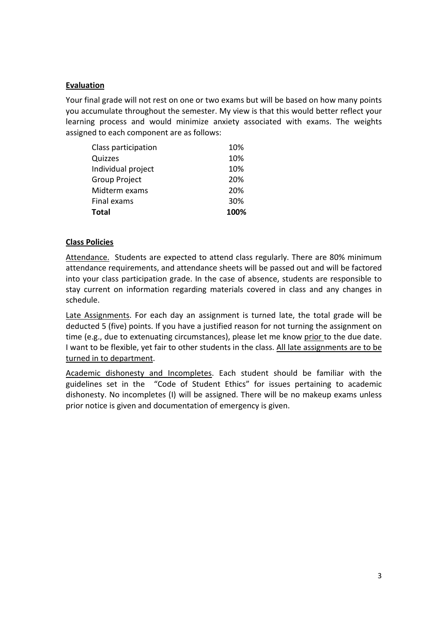### **Evaluation**

Your final grade will not rest on one or two exams but will be based on how many points you accumulate throughout the semester. My view is that this would better reflect your learning process and would minimize anxiety associated with exams. The weights assigned to each component are as follows:

| Final exams<br>Total | 30%<br>100% |
|----------------------|-------------|
| Midterm exams        | 20%         |
| <b>Group Project</b> | 20%         |
| Individual project   | 10%         |
| Quizzes              | 10%         |
| Class participation  | 10%         |

#### **Class Policies**

Attendance. Students are expected to attend class regularly. There are 80% minimum attendance requirements, and attendance sheets will be passed out and will be factored into your class participation grade. In the case of absence, students are responsible to stay current on information regarding materials covered in class and any changes in schedule.

Late Assignments. For each day an assignment is turned late, the total grade will be deducted 5 (five) points. If you have a justified reason for not turning the assignment on time (e.g., due to extenuating circumstances), please let me know prior to the due date. I want to be flexible, yet fair to other students in the class. All late assignments are to be turned in to department.

Academic dishonesty and Incompletes. Each student should be familiar with the guidelines set in the "Code of Student Ethics" for issues pertaining to academic dishonesty. No incompletes (I) will be assigned. There will be no makeup exams unless prior notice is given and documentation of emergency is given.